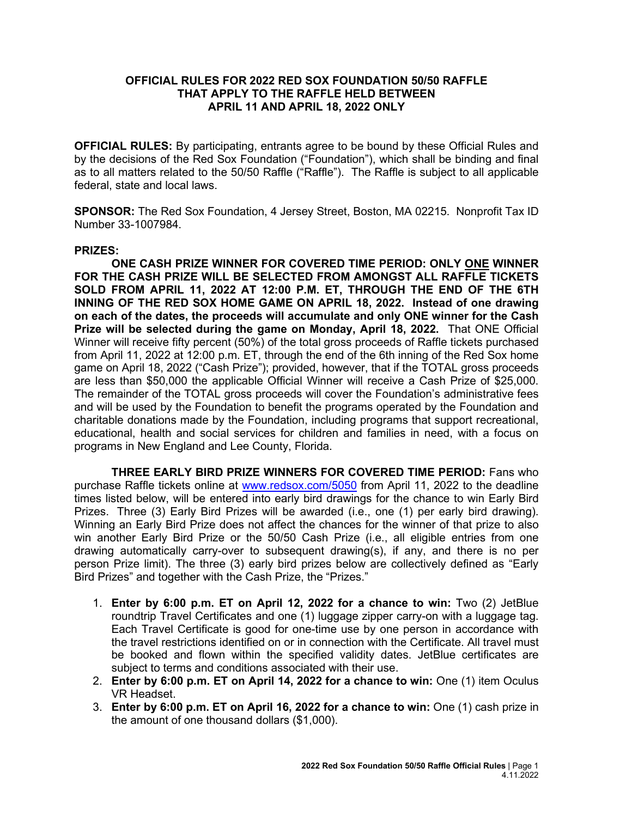## **OFFICIAL RULES FOR 2022 RED SOX FOUNDATION 50/50 RAFFLE THAT APPLY TO THE RAFFLE HELD BETWEEN APRIL 11 AND APRIL 18, 2022 ONLY**

**OFFICIAL RULES:** By participating, entrants agree to be bound by these Official Rules and by the decisions of the Red Sox Foundation ("Foundation"), which shall be binding and final as to all matters related to the 50/50 Raffle ("Raffle"). The Raffle is subject to all applicable federal, state and local laws.

**SPONSOR:** The Red Sox Foundation, 4 Jersey Street, Boston, MA 02215. Nonprofit Tax ID Number 33-1007984.

## **PRIZES:**

**ONE CASH PRIZE WINNER FOR COVERED TIME PERIOD: ONLY ONE WINNER FOR THE CASH PRIZE WILL BE SELECTED FROM AMONGST ALL RAFFLE TICKETS SOLD FROM APRIL 11, 2022 AT 12:00 P.M. ET, THROUGH THE END OF THE 6TH INNING OF THE RED SOX HOME GAME ON APRIL 18, 2022. Instead of one drawing on each of the dates, the proceeds will accumulate and only ONE winner for the Cash Prize will be selected during the game on Monday, April 18, 2022.** That ONE Official [Winner](http://winner/) will receive fifty percent (50%) of the total gross proceeds of Raffle tickets purchased from April 11, 2022 at 12:00 p.m. ET, through the end of the 6th inning of the Red Sox home game on April 18, 2022 ("Cash Prize"); provided, however, that if the TOTAL gross proceeds are less than \$50,000 the applicable Official Winner will receive a Cash Prize of \$25,000. The remainder of the TOTAL gross proceeds will cover the Foundation's administrative fees and will be used by the Foundation to benefit the programs operated by the Foundation and charitable donations made by the Foundation, including programs that support recreational, educational, health and social services for children and families in need, with a focus on programs in New England and Lee County, Florida.

**THREE EARLY BIRD PRIZE WINNERS FOR COVERED TIME PERIOD:** Fans who purchase Raffle tickets online at [www.redsox.com/5050](http://www.redsox.com/5050) from April 11, 2022 to the deadline times listed below, will be entered into early bird drawings for the chance to win Early Bird Prizes. Three (3) Early Bird Prizes will be awarded (i.e., one (1) per early bird drawing). Winning an Early Bird Prize does not affect the chances for the winner of that prize to also win another Early Bird Prize or the 50/50 Cash Prize (i.e., all eligible entries from one drawing automatically carry-over to subsequent drawing(s), if any, and there is no per person Prize limit). The three (3) early bird prizes below are collectively defined as "Early Bird Prizes" and together with the Cash Prize, the "Prizes."

- 1. **Enter by 6:00 p.m. ET on April 12, 2022 for a chance to win:** Two (2) JetBlue roundtrip Travel Certificates and one (1) luggage zipper carry-on with a luggage tag. Each Travel Certificate is good for one-time use by one person in accordance with the travel restrictions identified on or in connection with the Certificate. All travel must be booked and flown within the specified validity dates. JetBlue certificates are subject to terms and conditions associated with their use.
- 2. **Enter by 6:00 p.m. ET on April 14, 2022 for a chance to win:** One (1) item Oculus VR Headset.
- 3. **Enter by 6:00 p.m. ET on April 16, 2022 for a chance to win:** One (1) cash prize in the amount of one thousand dollars (\$1,000).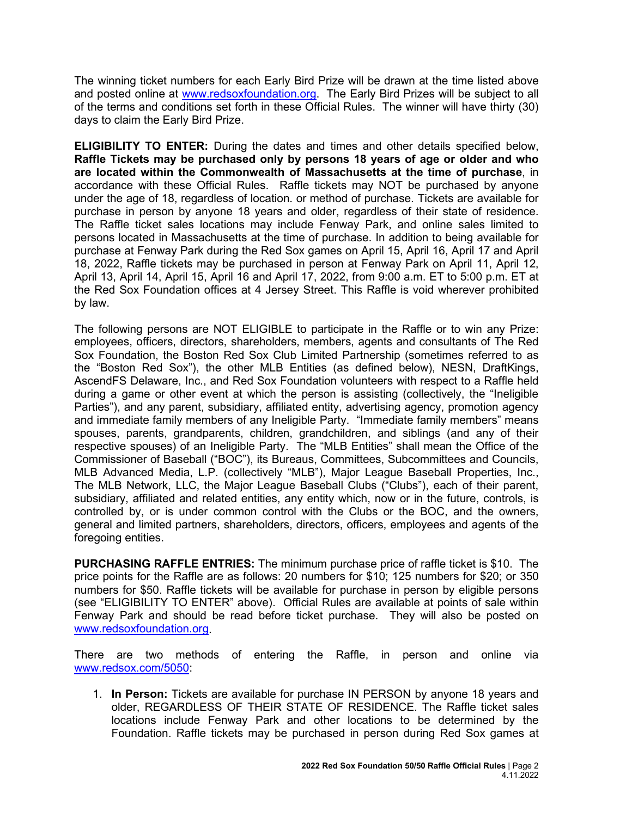The winning ticket numbers for each Early Bird Prize will be drawn at the time listed above and posted online at [www.redsoxfoundation.org.](http://www.redsoxfoundation.org/) The Early Bird Prizes will be subject to all of the terms and conditions set forth in these Official Rules. The winner will have thirty (30) days to claim the Early Bird Prize.

**ELIGIBILITY TO ENTER:** During the dates and times and other details specified below, **Raffle Tickets may be purchased only by persons 18 years of age or older and who are located within the Commonwealth of Massachusetts at the time of purchase**, in accordance with these Official Rules. Raffle tickets may NOT be purchased by anyone under the age of 18, regardless of location. or method of purchase. Tickets are available for purchase in person by anyone 18 years and older, regardless of their state of residence. The Raffle ticket sales locations may include Fenway Park, and online sales limited to persons located in Massachusetts at the time of purchase. In addition to being available for purchase at Fenway Park during the Red Sox games on April 15, April 16, April 17 and April 18, 2022, Raffle tickets may be purchased in person at Fenway Park on April 11, April 12, April 13, April 14, April 15, April 16 and April 17, 2022, from 9:00 a.m. ET to 5:00 p.m. ET at the Red Sox Foundation offices at 4 Jersey Street. This Raffle is void wherever prohibited by law.

The following persons are NOT ELIGIBLE to participate in the Raffle or to win any Prize: employees, officers, directors, shareholders, members, agents and consultants of The Red Sox Foundation, the Boston Red Sox Club Limited Partnership (sometimes referred to as the "Boston Red Sox"), the other MLB Entities (as defined below), NESN, DraftKings, AscendFS Delaware, Inc., and Red Sox Foundation volunteers with respect to a Raffle held during a game or other event at which the person is assisting (collectively, the "Ineligible Parties"), and any parent, subsidiary, affiliated entity, advertising agency, promotion agency and immediate family members of any Ineligible Party. "Immediate family members" means spouses, parents, grandparents, children, grandchildren, and siblings (and any of their respective spouses) of an Ineligible Party. The "MLB Entities" shall mean the Office of the Commissioner of Baseball ("BOC"), its Bureaus, Committees, Subcommittees and Councils, MLB Advanced Media, L.P. (collectively "MLB"), Major League Baseball Properties, Inc., The MLB Network, LLC, the Major League Baseball Clubs ("Clubs"), each of their parent, subsidiary, affiliated and related entities, any entity which, now or in the future, controls, is controlled by, or is under common control with the Clubs or the BOC, and the owners, general and limited partners, shareholders, directors, officers, employees and agents of the foregoing entities.

**PURCHASING RAFFLE ENTRIES:** The minimum purchase price of raffle ticket is \$10. The price points for the Raffle are as follows: 20 numbers for \$10; 125 numbers for \$20; or 350 numbers for \$50. Raffle tickets will be available for purchase in person by eligible persons (see "ELIGIBILITY TO ENTER" above). Official Rules are available at points of sale within Fenway Park and should be read before ticket purchase. They will also be posted on [www.redsoxfoundation.org.](http://www.redsoxfoundation.org/)

There are two methods of entering the Raffle, in person and online via [www.redsox.com/5050:](http://www.redsox.com/5050)

1. **In Person:** Tickets are available for purchase IN PERSON by anyone 18 years and older, REGARDLESS OF THEIR STATE OF RESIDENCE. The Raffle ticket sales locations include Fenway Park and other locations to be determined by the Foundation. Raffle tickets may be purchased in person during Red Sox games at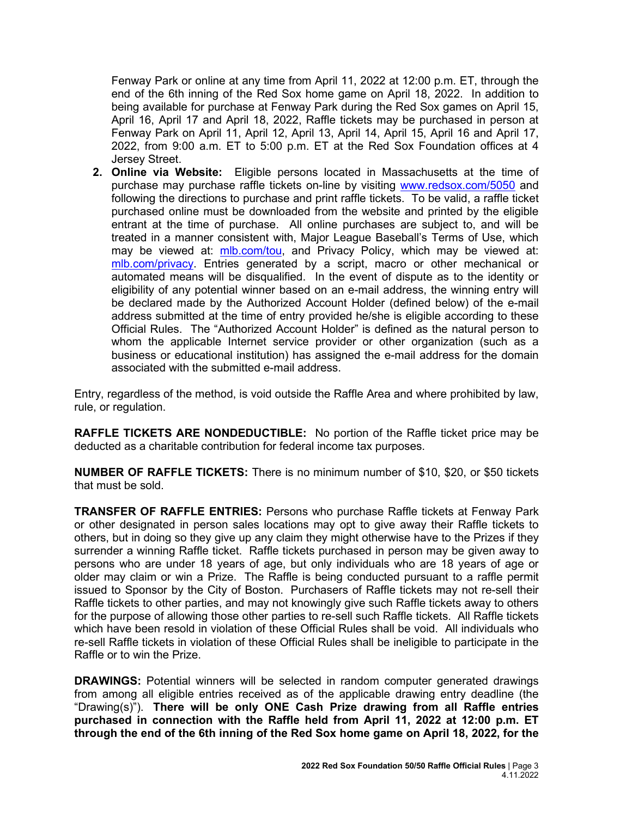Fenway Park or online at any time from April 11, 2022 at 12:00 p.m. ET, through the end of the 6th inning of the Red Sox home game on April 18, 2022. In addition to being available for purchase at Fenway Park during the Red Sox games on April 15, April 16, April 17 and April 18, 2022, Raffle tickets may be purchased in person at Fenway Park on April 11, April 12, April 13, April 14, April 15, April 16 and April 17, 2022, from 9:00 a.m. ET to 5:00 p.m. ET at the Red Sox Foundation offices at 4 Jersey Street.

**2. Online via Website:** Eligible persons located in Massachusetts at the time of purchase may purchase raffle tickets on-line by visiting [www.redsox.com/5050](http://www.redsox.com/5050) and following the directions to purchase and print raffle tickets. To be valid, a raffle ticket purchased online must be downloaded from the website and printed by the eligible entrant at the time of purchase. All online purchases are subject to, and will be treated in a manner consistent with, Major League Baseball's Terms of Use, which may be viewed at: [mlb.com/tou,](http://mlb.mlb.com/mlb/official_info/about_mlb_com/terms_of_use.jsp) and Privacy Policy, which may be viewed at: [mlb.com/privacy.](http://www.mlb.com/privacy) Entries generated by a script, macro or other mechanical or automated means will be disqualified. In the event of dispute as to the identity or eligibility of any potential winner based on an e-mail address, the winning entry will be declared made by the Authorized Account Holder (defined below) of the e-mail address submitted at the time of entry provided he/she is eligible according to these Official Rules. The "Authorized Account Holder" is defined as the natural person to whom the applicable Internet service provider or other organization (such as a business or educational institution) has assigned the e-mail address for the domain associated with the submitted e-mail address.

Entry, regardless of the method, is void outside the Raffle Area and where prohibited by law, rule, or regulation.

**RAFFLE TICKETS ARE NONDEDUCTIBLE:** No portion of the Raffle ticket price may be deducted as a charitable contribution for federal income tax purposes.

**NUMBER OF RAFFLE TICKETS:** There is no minimum number of \$10, \$20, or \$50 tickets that must be sold.

**TRANSFER OF RAFFLE ENTRIES:** Persons who purchase Raffle tickets at Fenway Park or other designated in person sales locations may opt to give away their Raffle tickets to others, but in doing so they give up any claim they might otherwise have to the Prizes if they surrender a winning Raffle ticket. Raffle tickets purchased in person may be given away to persons who are under 18 years of age, but only individuals who are 18 years of age or older may claim or win a Prize. The Raffle is being conducted pursuant to a raffle permit issued to Sponsor by the City of Boston. Purchasers of Raffle tickets may not re-sell their Raffle tickets to other parties, and may not knowingly give such Raffle tickets away to others for the purpose of allowing those other parties to re-sell such Raffle tickets. All Raffle tickets which have been resold in violation of these Official Rules shall be void. All individuals who re-sell Raffle tickets in violation of these Official Rules shall be ineligible to participate in the Raffle or to win the Prize.

**DRAWINGS:** Potential winners will be selected in random computer generated drawings from among all eligible entries received as of the applicable drawing entry deadline (the "Drawing(s)"). **There will be only ONE Cash Prize drawing from all Raffle entries purchased in connection with the Raffle held from April 11, 2022 at 12:00 p.m. ET through the end of the 6th inning of the Red Sox home game on April 18, 2022, for the**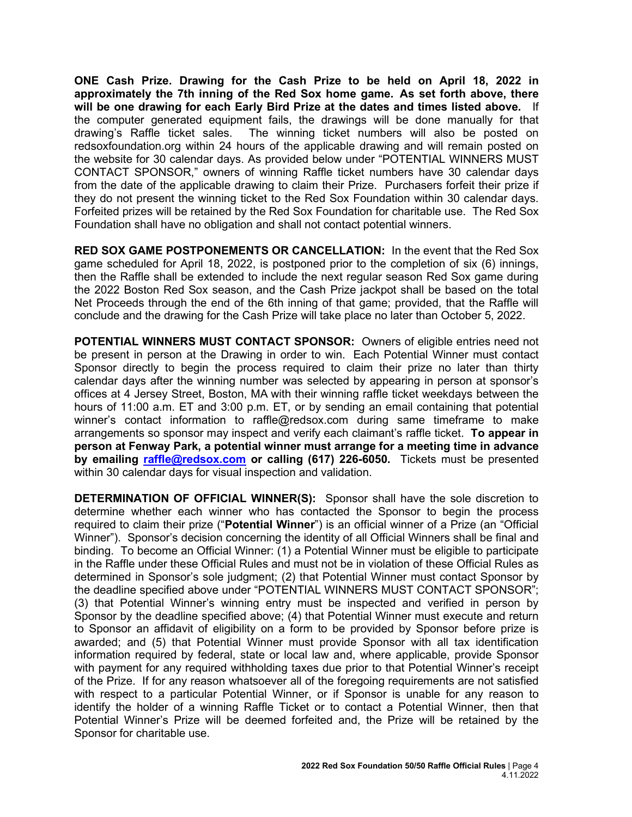**ONE Cash Prize. Drawing for the Cash Prize to be held on April 18, 2022 in approximately the 7th inning of the Red Sox home game. As set forth above, there will be one drawing for each Early Bird Prize at the dates and times listed above.** If the computer generated equipment fails, the drawings will be done manually for that drawing's Raffle ticket sales. The winning ticket numbers will also be posted on redsoxfoundation.org within 24 hours of the applicable drawing and will remain posted on the website for 30 calendar days. As provided below under "POTENTIAL WINNERS MUST CONTACT SPONSOR," owners of winning Raffle ticket numbers have 30 calendar days from the date of the applicable drawing to claim their Prize. Purchasers forfeit their prize if they do not present the winning ticket to the Red Sox Foundation within 30 calendar days. Forfeited prizes will be retained by the Red Sox Foundation for charitable use. The Red Sox Foundation shall have no obligation and shall not contact potential winners.

**RED SOX GAME POSTPONEMENTS OR CANCELLATION:** In the event that the Red Sox game scheduled for April 18, 2022, is postponed prior to the completion of six (6) innings, then the Raffle shall be extended to include the next regular season Red Sox game during the 2022 Boston Red Sox season, and the Cash Prize jackpot shall be based on the total Net Proceeds through the end of the 6th inning of that game; provided, that the Raffle will conclude and the drawing for the Cash Prize will take place no later than October 5, 2022.

**POTENTIAL WINNERS MUST CONTACT SPONSOR:** Owners of eligible entries need not be present in person at the Drawing in order to win. Each Potential Winner must contact Sponsor directly to begin the process required to claim their prize no later than thirty calendar days after the winning number was selected by appearing in person at sponsor's offices at 4 Jersey Street, Boston, MA with their winning raffle ticket weekdays between the hours of 11:00 a.m. ET and 3:00 p.m. ET, or by sending an email containing that potential winner's contact information to [raffle@redsox.com](mailto:redsoxraffle@redsox.com) during same timeframe to make arrangements so sponsor may inspect and verify each claimant's raffle ticket. **To appear in person at Fenway Park, a potential winner must arrange for a meeting time in advance by emailing raffle@redsox.com or calling (617) 226-6050.** Tickets must be presented within 30 calendar days for visual inspection and validation.

**DETERMINATION OF OFFICIAL WINNER(S):** Sponsor shall have the sole discretion to determine whether each winner who has contacted the Sponsor to begin the process required to claim their prize ("**Potential Winner**") is an official winner of a Prize (an "Official Winner"). Sponsor's decision concerning the identity of all Official Winners shall be final and binding. To become an Official Winner: (1) a Potential Winner must be eligible to participate in the Raffle under these Official Rules and must not be in violation of these Official Rules as determined in Sponsor's sole judgment; (2) that Potential Winner must contact Sponsor by the deadline specified above under "POTENTIAL WINNERS MUST CONTACT SPONSOR"; (3) that Potential Winner's winning entry must be inspected and verified in person by Sponsor by the deadline specified above; (4) that Potential Winner must execute and return to Sponsor an affidavit of eligibility on a form to be provided by Sponsor before prize is awarded; and (5) that Potential Winner must provide Sponsor with all tax identification information required by federal, state or local law and, where applicable, provide Sponsor with payment for any required withholding taxes due prior to that Potential Winner's receipt of the Prize. If for any reason whatsoever all of the foregoing requirements are not satisfied with respect to a particular Potential Winner, or if Sponsor is unable for any reason to identify the holder of a winning Raffle Ticket or to contact a Potential Winner, then that Potential Winner's Prize will be deemed forfeited and, the Prize will be retained by the Sponsor for charitable use.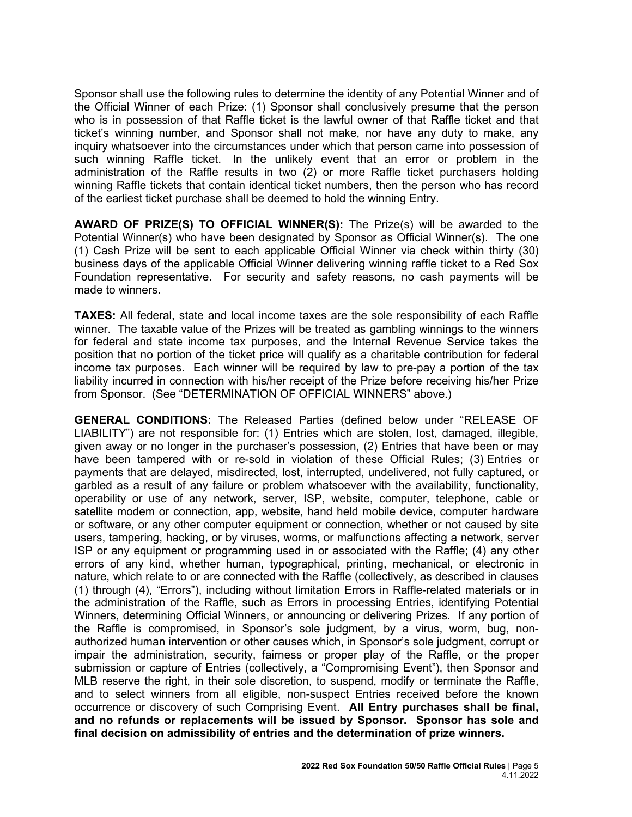Sponsor shall use the following rules to determine the identity of any Potential Winner and of the Official Winner of each Prize: (1) Sponsor shall conclusively presume that the person who is in possession of that Raffle ticket is the lawful owner of that Raffle ticket and that ticket's winning number, and Sponsor shall not make, nor have any duty to make, any inquiry whatsoever into the circumstances under which that person came into possession of such winning Raffle ticket. In the unlikely event that an error or problem in the administration of the Raffle results in two (2) or more Raffle ticket purchasers holding winning Raffle tickets that contain identical ticket numbers, then the person who has record of the earliest ticket purchase shall be deemed to hold the winning Entry.

**AWARD OF PRIZE(S) TO OFFICIAL WINNER(S):** The Prize(s) will be awarded to the Potential Winner(s) who have been designated by Sponsor as Official Winner(s). The one (1) Cash Prize will be sent to each applicable Official Winner via check within thirty (30) business days of the applicable Official Winner delivering winning raffle ticket to a Red Sox Foundation representative. For security and safety reasons, no cash payments will be made to winners.

**TAXES:** All federal, state and local income taxes are the sole responsibility of each Raffle winner. The taxable value of the Prizes will be treated as gambling winnings to the winners for federal and state income tax purposes, and the Internal Revenue Service takes the position that no portion of the ticket price will qualify as a charitable contribution for federal income tax purposes. Each winner will be required by law to pre-pay a portion of the tax liability incurred in connection with his/her receipt of the Prize before receiving his/her Prize from Sponsor. (See "DETERMINATION OF OFFICIAL WINNERS" above.)

**GENERAL CONDITIONS:** The Released Parties (defined below under "RELEASE OF LIABILITY") are not responsible for: (1) Entries which are stolen, lost, damaged, illegible, given away or no longer in the purchaser's possession, (2) Entries that have been or may have been tampered with or re-sold in violation of these Official Rules; (3) Entries or payments that are delayed, misdirected, lost, interrupted, undelivered, not fully captured, or garbled as a result of any failure or problem whatsoever with the availability, functionality, operability or use of any network, server, ISP, website, computer, telephone, cable or satellite modem or connection, app, website, hand held mobile device, computer hardware or software, or any other computer equipment or connection, whether or not caused by site users, tampering, hacking, or by viruses, worms, or malfunctions affecting a network, server ISP or any equipment or programming used in or associated with the Raffle; (4) any other errors of any kind, whether human, typographical, printing, mechanical, or electronic in nature, which relate to or are connected with the Raffle (collectively, as described in clauses (1) through (4), "Errors"), including without limitation Errors in Raffle-related materials or in the administration of the Raffle, such as Errors in processing Entries, identifying Potential Winners, determining Official Winners, or announcing or delivering Prizes. If any portion of the Raffle is compromised, in Sponsor's sole judgment, by a virus, worm, bug, nonauthorized human intervention or other causes which, in Sponsor's sole judgment, corrupt or impair the administration, security, fairness or proper play of the Raffle, or the proper submission or capture of Entries (collectively, a "Compromising Event"), then Sponsor and MLB reserve the right, in their sole discretion, to suspend, modify or terminate the Raffle, and to select winners from all eligible, non-suspect Entries received before the known occurrence or discovery of such Comprising Event. **All Entry purchases shall be final, and no refunds or replacements will be issued by Sponsor. Sponsor has sole and final decision on admissibility of entries and the determination of prize winners.**